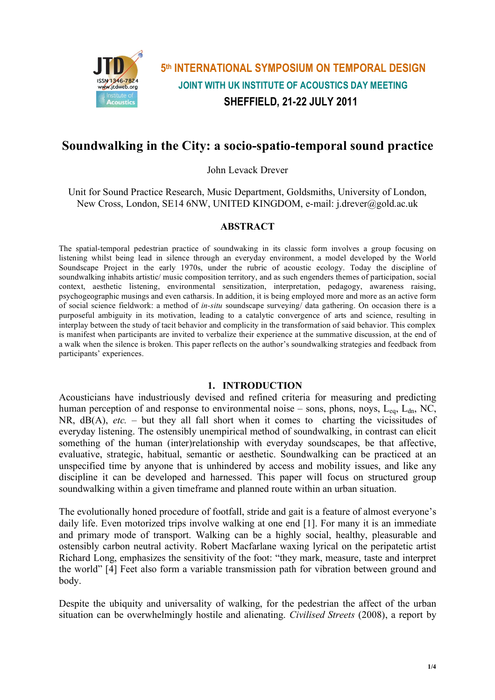

# **5th INTERNATIONAL SYMPOSIUM ON TEMPORAL DESIGN JOINT WITH UK INSTITUTE OF ACOUSTICS DAY MEETING SHEFFIELD, 21-22 JULY 2011**

## **Soundwalking in the City: a socio-spatio-temporal sound practice**

John Levack Drever

Unit for Sound Practice Research, Music Department, Goldsmiths, University of London, New Cross, London, SE14 6NW, UNITED KINGDOM, e-mail: j.drever@gold.ac.uk

### **ABSTRACT**

The spatial-temporal pedestrian practice of soundwaking in its classic form involves a group focusing on listening whilst being lead in silence through an everyday environment, a model developed by the World Soundscape Project in the early 1970s, under the rubric of acoustic ecology. Today the discipline of soundwalking inhabits artistic/ music composition territory, and as such engenders themes of participation, social context, aesthetic listening, environmental sensitization, interpretation, pedagogy, awareness raising, psychogeographic musings and even catharsis. In addition, it is being employed more and more as an active form of social science fieldwork: a method of *in-situ* soundscape surveying/ data gathering. On occasion there is a purposeful ambiguity in its motivation, leading to a catalytic convergence of arts and science, resulting in interplay between the study of tacit behavior and complicity in the transformation of said behavior. This complex is manifest when participants are invited to verbalize their experience at the summative discussion, at the end of a walk when the silence is broken. This paper reflects on the author's soundwalking strategies and feedback from participants' experiences.

#### **1. INTRODUCTION**

Acousticians have industriously devised and refined criteria for measuring and predicting human perception of and response to environmental noise – sons, phons, noys,  $L_{eq}$ ,  $L_{dn}$ , NC, NR,  $dB(A)$ , *etc.* – but they all fall short when it comes to charting the vicissitudes of everyday listening. The ostensibly unempirical method of soundwalking, in contrast can elicit something of the human (inter)relationship with everyday soundscapes, be that affective, evaluative, strategic, habitual, semantic or aesthetic. Soundwalking can be practiced at an unspecified time by anyone that is unhindered by access and mobility issues, and like any discipline it can be developed and harnessed. This paper will focus on structured group soundwalking within a given timeframe and planned route within an urban situation.

The evolutionally honed procedure of footfall, stride and gait is a feature of almost everyone's daily life. Even motorized trips involve walking at one end [1]. For many it is an immediate and primary mode of transport. Walking can be a highly social, healthy, pleasurable and ostensibly carbon neutral activity. Robert Macfarlane waxing lyrical on the peripatetic artist Richard Long, emphasizes the sensitivity of the foot: "they mark, measure, taste and interpret the world" [4] Feet also form a variable transmission path for vibration between ground and body.

Despite the ubiquity and universality of walking, for the pedestrian the affect of the urban situation can be overwhelmingly hostile and alienating. *Civilised Streets* (2008), a report by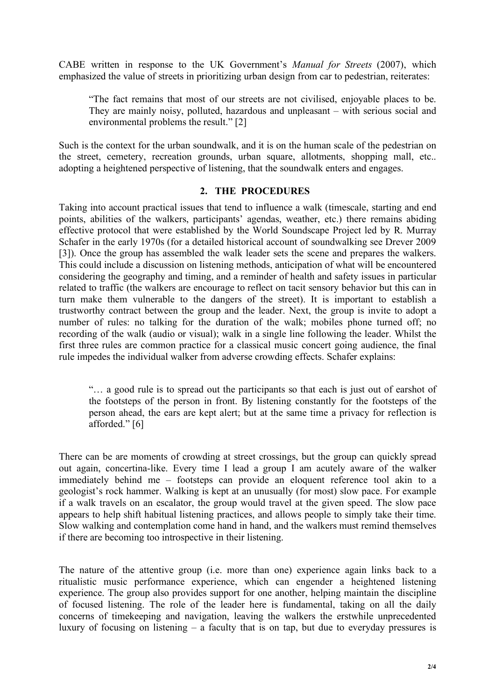CABE written in response to the UK Government's *Manual for Streets* (2007), which emphasized the value of streets in prioritizing urban design from car to pedestrian, reiterates:

"The fact remains that most of our streets are not civilised, enjoyable places to be. They are mainly noisy, polluted, hazardous and unpleasant – with serious social and environmental problems the result." [2]

Such is the context for the urban soundwalk, and it is on the human scale of the pedestrian on the street, cemetery, recreation grounds, urban square, allotments, shopping mall, etc.. adopting a heightened perspective of listening, that the soundwalk enters and engages.

## **2. THE PROCEDURES**

Taking into account practical issues that tend to influence a walk (timescale, starting and end points, abilities of the walkers, participants' agendas, weather, etc.) there remains abiding effective protocol that were established by the World Soundscape Project led by R. Murray Schafer in the early 1970s (for a detailed historical account of soundwalking see Drever 2009 [3]). Once the group has assembled the walk leader sets the scene and prepares the walkers. This could include a discussion on listening methods, anticipation of what will be encountered considering the geography and timing, and a reminder of health and safety issues in particular related to traffic (the walkers are encourage to reflect on tacit sensory behavior but this can in turn make them vulnerable to the dangers of the street). It is important to establish a trustworthy contract between the group and the leader. Next, the group is invite to adopt a number of rules: no talking for the duration of the walk; mobiles phone turned off; no recording of the walk (audio or visual); walk in a single line following the leader. Whilst the first three rules are common practice for a classical music concert going audience, the final rule impedes the individual walker from adverse crowding effects. Schafer explains:

"… a good rule is to spread out the participants so that each is just out of earshot of the footsteps of the person in front. By listening constantly for the footsteps of the person ahead, the ears are kept alert; but at the same time a privacy for reflection is afforded." [6]

There can be are moments of crowding at street crossings, but the group can quickly spread out again, concertina-like. Every time I lead a group I am acutely aware of the walker immediately behind me – footsteps can provide an eloquent reference tool akin to a geologist's rock hammer. Walking is kept at an unusually (for most) slow pace. For example if a walk travels on an escalator, the group would travel at the given speed. The slow pace appears to help shift habitual listening practices, and allows people to simply take their time. Slow walking and contemplation come hand in hand, and the walkers must remind themselves if there are becoming too introspective in their listening.

The nature of the attentive group (i.e. more than one) experience again links back to a ritualistic music performance experience, which can engender a heightened listening experience. The group also provides support for one another, helping maintain the discipline of focused listening. The role of the leader here is fundamental, taking on all the daily concerns of timekeeping and navigation, leaving the walkers the erstwhile unprecedented luxury of focusing on listening – a faculty that is on tap, but due to everyday pressures is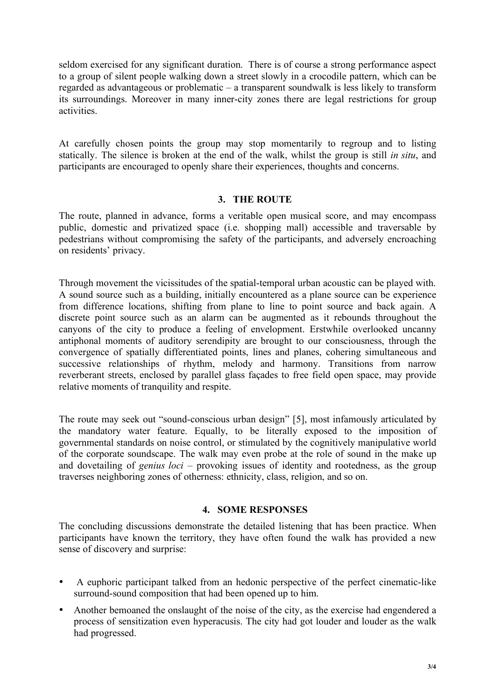seldom exercised for any significant duration. There is of course a strong performance aspect to a group of silent people walking down a street slowly in a crocodile pattern, which can be regarded as advantageous or problematic – a transparent soundwalk is less likely to transform its surroundings. Moreover in many inner-city zones there are legal restrictions for group activities.

At carefully chosen points the group may stop momentarily to regroup and to listing statically. The silence is broken at the end of the walk, whilst the group is still *in situ*, and participants are encouraged to openly share their experiences, thoughts and concerns.

## **3. THE ROUTE**

The route, planned in advance, forms a veritable open musical score, and may encompass public, domestic and privatized space (i.e. shopping mall) accessible and traversable by pedestrians without compromising the safety of the participants, and adversely encroaching on residents' privacy.

Through movement the vicissitudes of the spatial-temporal urban acoustic can be played with. A sound source such as a building, initially encountered as a plane source can be experience from difference locations, shifting from plane to line to point source and back again. A discrete point source such as an alarm can be augmented as it rebounds throughout the canyons of the city to produce a feeling of envelopment. Erstwhile overlooked uncanny antiphonal moments of auditory serendipity are brought to our consciousness, through the convergence of spatially differentiated points, lines and planes, cohering simultaneous and successive relationships of rhythm, melody and harmony. Transitions from narrow reverberant streets, enclosed by parallel glass façades to free field open space, may provide relative moments of tranquility and respite.

The route may seek out "sound-conscious urban design" [5], most infamously articulated by the mandatory water feature. Equally, to be literally exposed to the imposition of governmental standards on noise control, or stimulated by the cognitively manipulative world of the corporate soundscape. The walk may even probe at the role of sound in the make up and dovetailing of *genius loci* – provoking issues of identity and rootedness, as the group traverses neighboring zones of otherness: ethnicity, class, religion, and so on.

## **4. SOME RESPONSES**

The concluding discussions demonstrate the detailed listening that has been practice. When participants have known the territory, they have often found the walk has provided a new sense of discovery and surprise:

- A euphoric participant talked from an hedonic perspective of the perfect cinematic-like surround-sound composition that had been opened up to him.
- Another bemoaned the onslaught of the noise of the city, as the exercise had engendered a process of sensitization even hyperacusis. The city had got louder and louder as the walk had progressed.